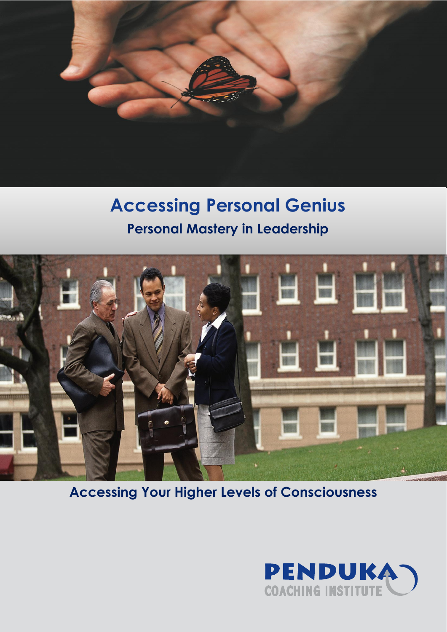

# **Accessing Personal Genius Personal Mastery in Leadership**



**Accessing Your Higher Levels of Consciousness**

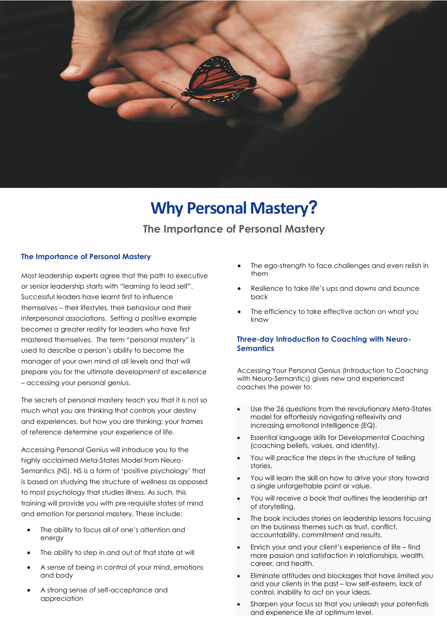

# **Why Personal Mastery?**

# **The Importance of Personal Mastery**

### **The Importance of Personal Mastery**

Most leadership experts agree that the path to executive or senior leadership starts with "learning to lead self". Successful leaders have learnt first to influence themselves – their lifestyles, their behaviour and their interpersonal associations. Setting a positive example becomes a greater reality for leaders who have first mastered themselves. The term "personal mastery" is used to describe a person's ability to become the manager of your own mind at all levels and that will prepare you for the ultimate development of excellence – accessing your personal genius.

The secrets of personal mastery teach you that it is not so much what you are thinking that controls your destiny and experiences, but how you are thinking: your frames of reference determine your experience of life.

Accessing Personal Genius will introduce you to the highly acclaimed Meta-States Model from Neuro-Semantics (NS). NS is a form of 'positive psychology' that is based on studying the structure of wellness as opposed to most psychology that studies illness. As such, this training will provide you with pre-requisite states of mind and emotion for personal mastery. These include:

- The ability to focus all of one's attention and energy
- The ability to step in and out of that state at will
- A sense of being in control of your mind, emotions and body
- A strong sense of self-acceptance and appreciation
- The ego-strength to face challenges and even relish in them
- Resilience to take life's ups and downs and bounce back
- The efficiency to take effective action on what you know

## **Three-day Introduction to Coaching with Neuro-Semantics**

Accessing Your Personal Genius (Introduction to Coaching with Neuro-Semantics) gives new and experienced coaches the power to:

- Use the 26 questions from the revolutionary Meta-States model for effortlessly navigating reflexivity and increasing emotional intelligence (EQ).
- Essential language skills for Developmental Coaching (coaching beliefs, values, and identity).
- You will practice the steps in the structure of telling stories.
- You will learn the skill on how to drive your story toward a single unforgettable point or value.
- You will receive a book that outlines the leadership art of storytelling.
- The book includes stories on leadership lessons focusing on the business themes such as trust, conflict, accountability, commitment and results.
- Enrich your and your client's experience of life find more passion and satisfaction in relationships, wealth, career, and health.
- Eliminate attitudes and blockages that have limited you and your clients in the past – low self-esteem, lack of control, inability to act on your ideas.
- Sharpen your focus so that you unleash your potentials and experience life at optimum level.